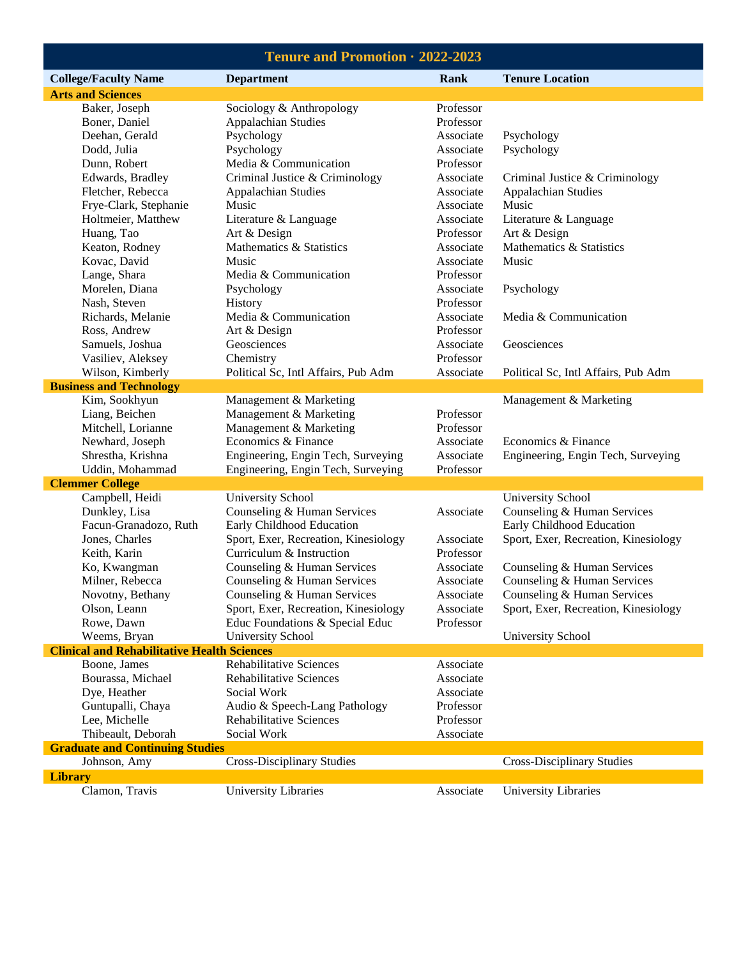| Tenure and Promotion · 2022-2023                   |                                               |                        |                                      |  |
|----------------------------------------------------|-----------------------------------------------|------------------------|--------------------------------------|--|
| <b>College/Faculty Name</b>                        | <b>Department</b>                             | Rank                   | <b>Tenure Location</b>               |  |
| <b>Arts and Sciences</b>                           |                                               |                        |                                      |  |
| Baker, Joseph                                      | Sociology & Anthropology                      | Professor              |                                      |  |
| Boner, Daniel                                      | <b>Appalachian Studies</b>                    | Professor              |                                      |  |
| Deehan, Gerald                                     | Psychology                                    | Associate              | Psychology                           |  |
| Dodd, Julia                                        | Psychology                                    | Associate              | Psychology                           |  |
| Dunn, Robert                                       | Media & Communication                         | Professor              |                                      |  |
| Edwards, Bradley                                   | Criminal Justice & Criminology                | Associate              | Criminal Justice & Criminology       |  |
| Fletcher, Rebecca                                  | Appalachian Studies                           | Associate              | <b>Appalachian Studies</b>           |  |
| Frye-Clark, Stephanie                              | Music                                         | Associate              | Music                                |  |
| Holtmeier, Matthew                                 | Literature & Language                         | Associate              | Literature & Language                |  |
| Huang, Tao                                         | Art & Design                                  | Professor              | Art & Design                         |  |
| Keaton, Rodney                                     | Mathematics & Statistics                      | Associate              | Mathematics & Statistics             |  |
| Kovac, David                                       | Music                                         | Associate              | Music                                |  |
| Lange, Shara                                       | Media & Communication                         | Professor              |                                      |  |
| Morelen, Diana                                     | Psychology                                    | Associate              | Psychology                           |  |
| Nash, Steven                                       | History                                       | Professor              |                                      |  |
| Richards, Melanie                                  | Media & Communication                         | Associate              | Media & Communication                |  |
| Ross, Andrew                                       | Art & Design                                  | Professor              |                                      |  |
| Samuels, Joshua                                    | Geosciences                                   | Associate              | Geosciences                          |  |
| Vasiliev, Aleksey                                  | Chemistry                                     | Professor              |                                      |  |
| Wilson, Kimberly                                   | Political Sc, Intl Affairs, Pub Adm           | Associate              | Political Sc, Intl Affairs, Pub Adm  |  |
| <b>Business and Technology</b>                     |                                               |                        |                                      |  |
| Kim, Sookhyun                                      | Management & Marketing                        |                        | Management & Marketing               |  |
| Liang, Beichen                                     | Management & Marketing                        | Professor              |                                      |  |
| Mitchell, Lorianne                                 | Management & Marketing                        | Professor              |                                      |  |
| Newhard, Joseph                                    | Economics & Finance                           | Associate              | Economics & Finance                  |  |
| Shrestha, Krishna                                  | Engineering, Engin Tech, Surveying            | Associate              | Engineering, Engin Tech, Surveying   |  |
| Uddin, Mohammad                                    | Engineering, Engin Tech, Surveying            | Professor              |                                      |  |
| <b>Clemmer College</b>                             |                                               |                        |                                      |  |
| Campbell, Heidi                                    | <b>University School</b>                      |                        | University School                    |  |
| Dunkley, Lisa                                      | Counseling & Human Services                   | Associate              | Counseling & Human Services          |  |
| Facun-Granadozo, Ruth                              | Early Childhood Education                     |                        | Early Childhood Education            |  |
| Jones, Charles                                     | Sport, Exer, Recreation, Kinesiology          | Associate              | Sport, Exer, Recreation, Kinesiology |  |
| Keith, Karin                                       | Curriculum & Instruction                      | Professor              |                                      |  |
| Ko, Kwangman                                       | Counseling & Human Services                   | Associate              | Counseling & Human Services          |  |
| Milner, Rebecca                                    | Counseling & Human Services                   | Associate              | Counseling & Human Services          |  |
| Novotny, Bethany                                   | Counseling & Human Services                   | Associate              | Counseling & Human Services          |  |
| Olson, Leann                                       | Sport, Exer, Recreation, Kinesiology          | Associate              | Sport, Exer, Recreation, Kinesiology |  |
| Rowe, Dawn                                         | Educ Foundations & Special Educ               | Professor              |                                      |  |
| Weems, Bryan                                       | <b>University School</b>                      |                        | <b>University School</b>             |  |
| <b>Clinical and Rehabilitative Health Sciences</b> |                                               |                        |                                      |  |
| Boone, James<br>Bourassa, Michael                  | <b>Rehabilitative Sciences</b>                | Associate              |                                      |  |
|                                                    | <b>Rehabilitative Sciences</b><br>Social Work | Associate              |                                      |  |
| Dye, Heather                                       |                                               | Associate              |                                      |  |
| Guntupalli, Chaya                                  | Audio & Speech-Lang Pathology                 | Professor<br>Professor |                                      |  |
| Lee, Michelle                                      | <b>Rehabilitative Sciences</b>                | Associate              |                                      |  |
| Thibeault, Deborah                                 | Social Work                                   |                        |                                      |  |
| <b>Graduate and Continuing Studies</b>             |                                               |                        | <b>Cross-Disciplinary Studies</b>    |  |
| Johnson, Amy                                       | <b>Cross-Disciplinary Studies</b>             |                        |                                      |  |
| <b>Library</b>                                     |                                               |                        |                                      |  |
| Clamon, Travis                                     | <b>University Libraries</b>                   | Associate              | University Libraries                 |  |